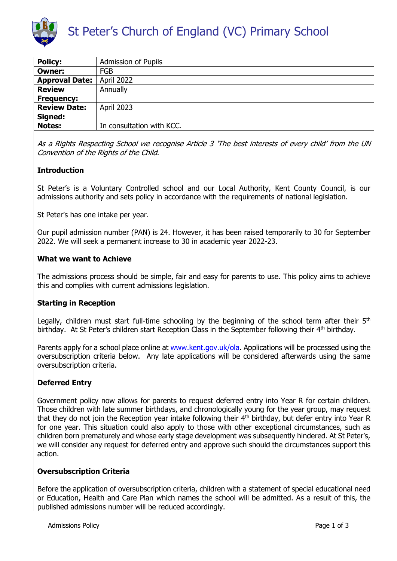

| <b>Policy:</b>        | <b>Admission of Pupils</b> |
|-----------------------|----------------------------|
| <b>Owner:</b>         | <b>FGB</b>                 |
| <b>Approval Date:</b> | April 2022                 |
| <b>Review</b>         | Annually                   |
| <b>Frequency:</b>     |                            |
| <b>Review Date:</b>   | <b>April 2023</b>          |
| Signed:               |                            |
| <b>Notes:</b>         | In consultation with KCC.  |

As a Rights Respecting School we recognise Article 3 'The best interests of every child' from the UN Convention of the Rights of the Child.

# **Introduction**

St Peter's is a Voluntary Controlled school and our Local Authority, Kent County Council, is our admissions authority and sets policy in accordance with the requirements of national legislation.

St Peter's has one intake per year.

Our pupil admission number (PAN) is 24. However, it has been raised temporarily to 30 for September 2022. We will seek a permanent increase to 30 in academic year 2022-23.

### **What we want to Achieve**

The admissions process should be simple, fair and easy for parents to use. This policy aims to achieve this and complies with current admissions legislation.

# **Starting in Reception**

Legally, children must start full-time schooling by the beginning of the school term after their  $5<sup>th</sup>$ birthday. At St Peter's children start Reception Class in the September following their 4<sup>th</sup> birthday.

Parents apply for a school place online at [www.kent.gov.uk/ola.](http://www.kent.gov.uk/ola) Applications will be processed using the oversubscription criteria below. Any late applications will be considered afterwards using the same oversubscription criteria.

# **Deferred Entry**

Government policy now allows for parents to request deferred entry into Year R for certain children. Those children with late summer birthdays, and chronologically young for the year group, may request that they do not join the Reception year intake following their 4<sup>th</sup> birthday, but defer entry into Year R for one year. This situation could also apply to those with other exceptional circumstances, such as children born prematurely and whose early stage development was subsequently hindered. At St Peter's, we will consider any request for deferred entry and approve such should the circumstances support this action.

### **Oversubscription Criteria**

Before the application of oversubscription criteria, children with a statement of special educational need or Education, Health and Care Plan which names the school will be admitted. As a result of this, the published admissions number will be reduced accordingly.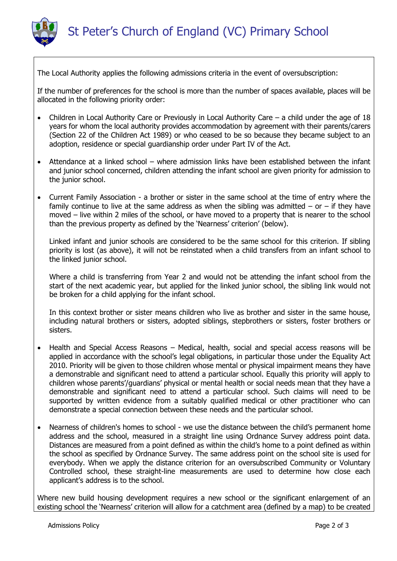

The Local Authority applies the following admissions criteria in the event of oversubscription:

If the number of preferences for the school is more than the number of spaces available, places will be allocated in the following priority order:

- Children in Local Authority Care or Previously in Local Authority Care a child under the age of 18 years for whom the local authority provides accommodation by agreement with their parents/carers (Section 22 of the Children Act 1989) or who ceased to be so because they became subject to an adoption, residence or special guardianship order under Part IV of the Act.
- Attendance at a linked school where admission links have been established between the infant and junior school concerned, children attending the infant school are given priority for admission to the junior school.
- Current Family Association a brother or sister in the same school at the time of entry where the family continue to live at the same address as when the sibling was admitted  $-$  or  $-$  if they have moved – live within 2 miles of the school, or have moved to a property that is nearer to the school than the previous property as defined by the 'Nearness' criterion' (below).

Linked infant and junior schools are considered to be the same school for this criterion. If sibling priority is lost (as above), it will not be reinstated when a child transfers from an infant school to the linked junior school.

Where a child is transferring from Year 2 and would not be attending the infant school from the start of the next academic year, but applied for the linked junior school, the sibling link would not be broken for a child applying for the infant school.

In this context brother or sister means children who live as brother and sister in the same house, including natural brothers or sisters, adopted siblings, stepbrothers or sisters, foster brothers or sisters.

- Health and Special Access Reasons Medical, health, social and special access reasons will be applied in accordance with the school's legal obligations, in particular those under the Equality Act 2010. Priority will be given to those children whose mental or physical impairment means they have a demonstrable and significant need to attend a particular school. Equally this priority will apply to children whose parents'/guardians' physical or mental health or social needs mean that they have a demonstrable and significant need to attend a particular school. Such claims will need to be supported by written evidence from a suitably qualified medical or other practitioner who can demonstrate a special connection between these needs and the particular school.
- Nearness of children's homes to school we use the distance between the child's permanent home address and the school, measured in a straight line using Ordnance Survey address point data. Distances are measured from a point defined as within the child's home to a point defined as within the school as specified by Ordnance Survey. The same address point on the school site is used for everybody. When we apply the distance criterion for an oversubscribed Community or Voluntary Controlled school, these straight-line measurements are used to determine how close each applicant's address is to the school.

Where new build housing development requires a new school or the significant enlargement of an existing school the 'Nearness' criterion will allow for a catchment area (defined by a map) to be created